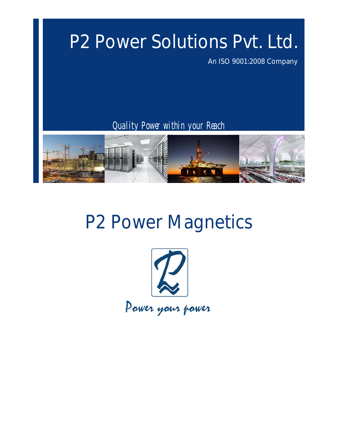# P2 Power Solutions Pvt. Ltd.

An ISO 9001:2008 Company

Quality Power within your Reach



# P2 Power Magnetics

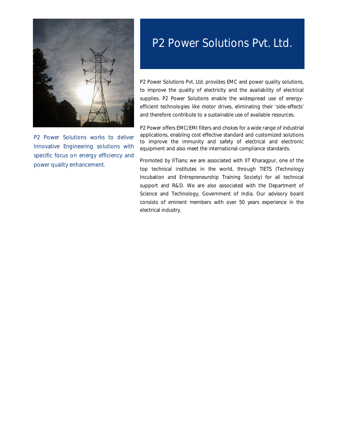

P2 Power Solutions works to deliver Innovative Engineering solutions with specific focus on energy efficiency and power quality enhancement.

## P2 Power Solutions Pvt. Ltd.

P2 Power Solutions Pvt. Ltd. provides EMC and power quality solutions, to improve the quality of electricity and the availability of electrical supplies. P2 Power Solutions enable the widespread use of energyefficient technologies like motor drives, eliminating their 'side-effects' and therefore contribute to a sustainable use of available resources.

P2 Power offers EMC/EMI filters and chokes for a wide range of industrial applications, enabling cost effective standard and customized solutions to improve the immunity and safety of electrical and electronic equipment and also meet the international compliance standards.

Promoted by IITians; we are associated with IIT Kharagpur, one of the top technical institutes in the world, through TIETS (Technology Incubation and Entrepreneurship Training Society) for all technical support and R&D. We are also associated with the Department of Science and Technology, Government of India. Our advisory board consists of eminent members with over 50 years experience in the electrical industry.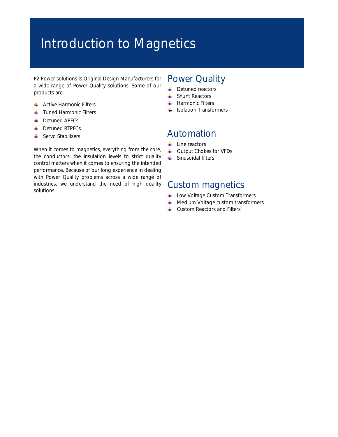## Introduction to Magnetics

P2 Power solutions is Original Design Manufacturers for a wide range of Power Quality solutions. Some of our products are:

- **Active Harmonic Filters**
- **Tuned Harmonic Filters**
- **L** Detuned APFCs
- **E** Detuned RTPFCs
- **↓** Servo Stabilizers

## Power Quality

- ÷ Detuned reactors
- ÷ Shunt Reactors
- **Harmonic Filters**
- $\frac{1}{\sqrt{2}}$  Isolation Transformers

## Automation

- ÷. Line reactors
- **↓** Output Chokes for VFDs
- $\frac{1}{2}$ Sinusoidal filters

## Custom magnetics

- Low Voltage Custom Transformers
- $\blacksquare$  Medium Voltage custom transformers
- $\downarrow$  Custom Reactors and Filters

When it comes to magnetics, everything from the core, the conductors, the insulation levels to strict quality control matters when it comes to ensuring the intended performance. Because of our long experience in dealing with Power Quality problems across a wide range of industries, we understand the need of high quality solutions.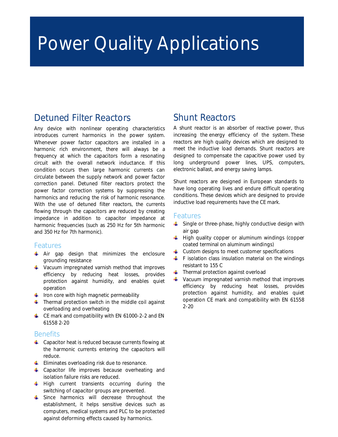# Power Quality Applications

## Detuned Filter Reactors

Any device with nonlinear operating characteristics introduces current harmonics in the power system. Whenever power factor capacitors are installed in a harmonic rich environment, there will always be a frequency at which the capacitors form a resonating circuit with the overall network inductance. If this condition occurs then large harmonic currents can circulate between the supply network and power factor correction panel. Detuned filter reactors protect the power factor correction systems by suppressing the harmonics and reducing the risk of harmonic resonance. With the use of detuned filter reactors, the currents flowing through the capacitors are reduced by creating impedance in addition to capacitor impedance at harmonic frequencies (such as 250 Hz for 5th harmonic and 350 Hz for 7th harmonic).

#### Features

- $\uparrow$  Air gap design that minimizes the enclosure grounding resistance
- $\frac{1}{2}$  Vacuum impregnated varnish method that improves efficiency by reducing heat losses, provides protection against humidity, and enables quiet operation
- $\frac{1}{\sqrt{2}}$  Iron core with high magnetic permeability
- $\frac{1}{2}$  Thermal protection switch in the middle coil against overloading and overheating
- ← CE mark and compatibility with EN 61000-2-2 and EN 61558 2-20

#### **Benefits**

- $\triangleq$  Capacitor heat is reduced because currents flowing at the harmonic currents entering the capacitors will reduce.
- **Eliminates overloading risk due to resonance.**
- $\triangleq$  Capacitor life improves because overheating and isolation failure risks are reduced.
- $\frac{1}{\sqrt{2}}$  High current transients occurring during the switching of capacitor groups are prevented.
- Since harmonics will decrease throughout the establishment, it helps sensitive devices such as computers, medical systems and PLC to be protected against deforming effects caused by harmonics.

## Shunt Reactors

A shunt reactor is an absorber of reactive power, thus increasing the energy efficiency of the system. These reactors are high quality devices which are designed to meet the inductive load demands. Shunt reactors are designed to compensate the capacitive power used by long underground power lines, UPS, computers, electronic ballast, and energy saving lamps.

Shunt reactors are designed in European standards to have long operating lives and endure difficult operating conditions. These devices which are designed to provide inductive load requirements have the CE mark.

#### Features

- $\triangleq$  Single or three-phase, highly conductive design with air gap
- $\pm$  High quality copper or aluminum windings (copper coated terminal on aluminum windings)
- $\leftarrow$  Custom designs to meet customer specifications
- $\uparrow$  F isolation class insulation material on the windings resistant to 155 C
- $\ddot{\bullet}$  Thermal protection against overload
- $\ddot{\bullet}$  Vacuum impregnated varnish method that improves efficiency by reducing heat losses, provides protection against humidity, and enables quiet operation CE mark and compatibility with EN 61558 2-20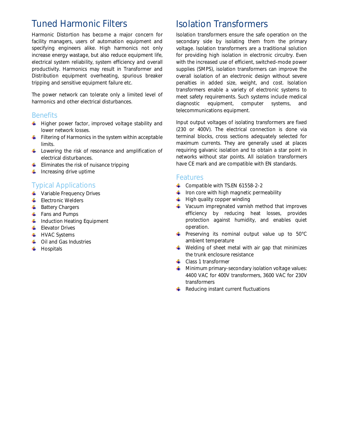## Tuned Harmonic Filters

Harmonic Distortion has become a major concern for facility managers, users of automation equipment and specifying engineers alike. High harmonics not only increase energy wastage, but also reduce equipment life, electrical system reliability, system efficiency and overall productivity. Harmonics may result in Transformer and Distribution equipment overheating, spurious breaker tripping and sensitive equipment failure etc.

The power network can tolerate only a limited level of harmonics and other electrical disturbances.

### **Benefits**

- $\ddot{\phantom{1}}$  Higher power factor, improved voltage stability and lower network losses.
- $\ddot{\bullet}$  Filtering of Harmonics in the system within acceptable limits.
- $\ddot{\bullet}$  Lowering the risk of resonance and amplification of electrical disturbances.
- $\frac{1}{\sqrt{2}}$  Eliminates the risk of nuisance tripping
- $\frac{1}{\sqrt{2}}$  Increasing drive uptime

### Typical Applications

- **Variable Frequency Drives**
- $\leftarrow$  Electronic Welders
- $\overline{\phantom{a}}$  Battery Chargers
- $\leftarrow$  Fans and Pumps
- $\ddot{\phantom{1}}$  Induction Heating Equipment
- **Elevator Drives**
- $\ddot{+}$  HVAC Systems
- $\leftarrow$  Oil and Gas Industries
- $\blacksquare$  Hospitals

## Isolation Transformers

Isolation transformers ensure the safe operation on the secondary side by isolating them from the primary voltage. Isolation transformers are a traditional solution for providing high isolation in electronic circuitry. Even with the increased use of efficient, switched-mode power supplies (SMPS), isolation transformers can improve the overall isolation of an electronic design without severe penalties in added size, weight, and cost. Isolation transformers enable a variety of electronic systems to meet safety requirements. Such systems include medical diagnostic equipment, computer systems, and telecommunications equipment.

Input output voltages of isolating transformers are fixed (230 or 400V). The electrical connection is done via terminal blocks, cross sections adequately selected for maximum currents. They are generally used at places requiring galvanic isolation and to obtain a star point in networks without star points. All isolation transformers have CE mark and are compatible with EN standards.

### Features

- $\leftarrow$  Compatible with TS.EN 61558-2-2
- $\frac{1}{2}$  Iron core with high magnetic permeability
- $\ddot{\phantom{a}}$  High quality copper winding
- Vacuum impregnated varnish method that improves efficiency by reducing heat losses, provides protection against humidity, and enables quiet operation.
- Preserving its nominal output value up to 50°C ambient temperature
- $\frac{1}{2}$  Welding of sheet metal with air gap that minimizes the trunk enclosure resistance
- $\leftarrow$  Class 1 transformer
- $\frac{1}{2}$  Minimum primary-secondary isolation voltage values: 4400 VAC for 400V transformers, 3600 VAC for 230V transformers
- $\bigstar$  Reducing instant current fluctuations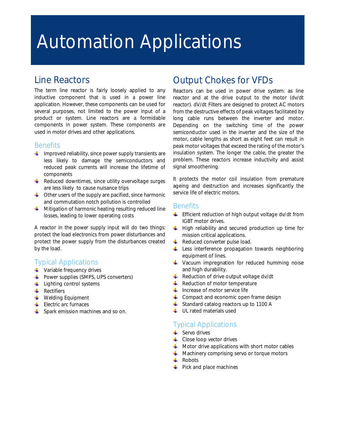# Automation Applications

## Line Reactors

The term line reactor is fairly loosely applied to any inductive component that is used in a power line application. However, these components can be used for several purposes, not limited to the power input of a product or system. Line reactors are a formidable components in power system. These components are used in motor drives and other applications.

### **Benefits**

- $\ddot{\bullet}$  Improved reliability, since power supply transients are less likely to damage the semiconductors and reduced peak currents will increase the lifetime of components
- $\frac{1}{2}$  Reduced downtimes, since utility overvoltage surges are less likely to cause nuisance trips
- $\triangleq$  Other users of the supply are pacified, since harmonic and commutation notch pollution is controlled
- $\frac{1}{\sqrt{2}}$  Mitigation of harmonic heating resulting reduced line losses, leading to lower operating costs

A reactor in the power supply input will do two things: protect the load electronics from power disturbances and protect the power supply from the disturbances created by the load.

### Typical Applications

- Variable frequency drives
- **Power supplies (SMPS, UPS converters)**
- $\ddot{\bullet}$  Lighting control systems
- $\leftarrow$  Rectifiers
- **Welding Equipment**
- $\blacksquare$  Electric arc furnaces
- $\frac{1}{2}$  Spark emission machines and so on.

## Output Chokes for VFDs

Reactors can be used in power drive system: as line reactor and at the drive output to the motor (dv/dt reactor). dV/dt Filters are designed to protect AC motors from the destructive effects of peak voltages facilitated by long cable runs between the inverter and motor. Depending on the switching time of the power semiconductor used in the inverter and the size of the motor, cable lengths as short as eight feet can result in peak motor voltages that exceed the rating of the motor's insulation system. The longer the cable, the greater the problem. These reactors increase inductivity and assist signal smoothening.

It protects the motor coil insulation from premature ageing and destruction and increases significantly the service life of electric motors.

### **Benefits**

- **Efficient reduction of high output voltage dv/dt from** IGBT motor drives.
- $\frac{1}{2}$  High reliability and secured production up time for mission critical applications.
- $\overline{\phantom{a}}$  Reduced converter pulse load.
- Less interference propagation towards neighboring equipment of lines.
- **Vacuum impregnation for reduced humming noise** and high durability.
- $\triangleq$  Reduction of drive output voltage dv/dt
- $\frac{1}{\sqrt{2}}$  Reduction of motor temperature
- $\frac{1}{2}$  Increase of motor service life
- $\triangleq$  Compact and economic open frame design
- **↓** Standard catalog reactors up to 1100 A
- $\downarrow$  UL rated materials used

### Typical Applications

- $\frac{1}{2}$  Servo drives
- $\leftarrow$  Close loop vector drives
- $\uparrow$  Motor drive applications with short motor cables
- $\frac{1}{2}$  Machinery comprising servo or torque motors
- $\textcolor{red}{\blacksquare}$  Robots
- $\leftarrow$  Pick and place machines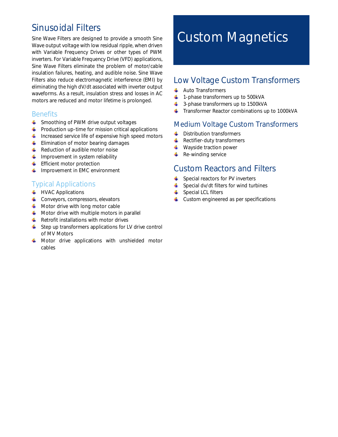## Sinusoidal Filters

Sine Wave Filters are designed to provide a smooth Sine Wave output voltage with low residual ripple, when driven with Variable Frequency Drives or other types of PWM inverters. For Variable Frequency Drive (VFD) applications, Sine Wave Filters eliminate the problem of motor/cable insulation failures, heating, and audible noise. Sine Wave Filters also reduce electromagnetic interference (EMI) by eliminating the high dV/dt associated with inverter output waveforms. As a result, insulation stress and losses in AC motors are reduced and motor lifetime is prolonged.

### **Benefits**

- **↓** Smoothing of PWM drive output voltages
- $\ddot{\phantom{1}}$  Production up-time for mission critical applications
- $\ddot{\phantom{1}}$  Increased service life of expensive high speed motors
- $\leftarrow$  Elimination of motor bearing damages
- $\leftarrow$  Reduction of audible motor noise
- $\blacksquare$  Improvement in system reliability
- $\leftarrow$  Efficient motor protection
- $\downarrow$  Improvement in EMC environment

### Typical Applications

- $\leftarrow$  HVAC Applications
- $\triangleq$  Conveyors, compressors, elevators
- $\blacksquare$  Motor drive with long motor cable
- $\leftarrow$  Motor drive with multiple motors in parallel
- $\bigcup$  Retrofit installations with motor drives
- $\triangleq$  Step up transformers applications for LV drive control of MV Motors
- **4** Motor drive applications with unshielded motor cables

## Custom Magnetics

### Low Voltage Custom Transformers

- $\overline{\phantom{a}}$  Auto Transformers
- $\downarrow$  1-phase transformers up to 500kVA
- $\triangleq$  3-phase transformers up to 1500kVA
- $\ddot{\phantom{1}}$  Transformer Reactor combinations up to 1000kVA

### Medium Voltage Custom Transformers

- **↓** Distribution transformers
- $\leftarrow$  Rectifier-duty transformers
- ₩. Wayside traction power
- ۰. Re-winding service

### Custom Reactors and Filters

- $\triangleq$  Special reactors for PV inverters
- $\triangleq$  Special dv/dt filters for wind turbines
- $\downarrow$  Special LCL filters
- $\downarrow$  Custom engineered as per specifications